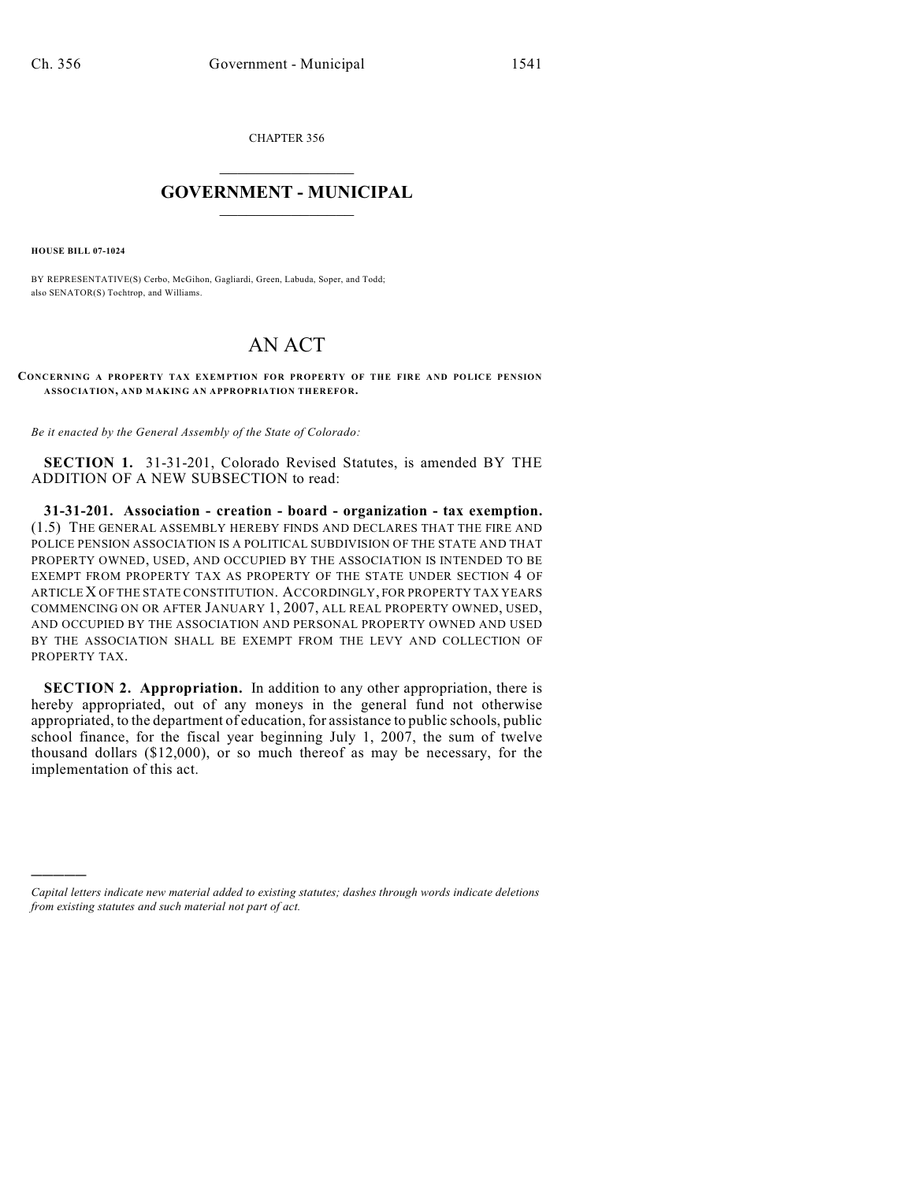CHAPTER 356  $\mathcal{L}_\text{max}$  . The set of the set of the set of the set of the set of the set of the set of the set of the set of the set of the set of the set of the set of the set of the set of the set of the set of the set of the set

## **GOVERNMENT - MUNICIPAL**  $\_$

**HOUSE BILL 07-1024**

)))))

BY REPRESENTATIVE(S) Cerbo, McGihon, Gagliardi, Green, Labuda, Soper, and Todd; also SENATOR(S) Tochtrop, and Williams.

## AN ACT

**CONCERNING A PROPERTY TAX EXEMPTION FOR PROPERTY OF THE FIRE AND POLICE PENSION ASSOCIATION, AND MAKING AN APPROPRIATION THEREFOR.**

*Be it enacted by the General Assembly of the State of Colorado:*

**SECTION 1.** 31-31-201, Colorado Revised Statutes, is amended BY THE ADDITION OF A NEW SUBSECTION to read:

**31-31-201. Association - creation - board - organization - tax exemption.** (1.5) THE GENERAL ASSEMBLY HEREBY FINDS AND DECLARES THAT THE FIRE AND POLICE PENSION ASSOCIATION IS A POLITICAL SUBDIVISION OF THE STATE AND THAT PROPERTY OWNED, USED, AND OCCUPIED BY THE ASSOCIATION IS INTENDED TO BE EXEMPT FROM PROPERTY TAX AS PROPERTY OF THE STATE UNDER SECTION 4 OF ARTICLE X OF THE STATE CONSTITUTION. ACCORDINGLY, FOR PROPERTY TAX YEARS COMMENCING ON OR AFTER JANUARY 1, 2007, ALL REAL PROPERTY OWNED, USED, AND OCCUPIED BY THE ASSOCIATION AND PERSONAL PROPERTY OWNED AND USED BY THE ASSOCIATION SHALL BE EXEMPT FROM THE LEVY AND COLLECTION OF PROPERTY TAX.

**SECTION 2. Appropriation.** In addition to any other appropriation, there is hereby appropriated, out of any moneys in the general fund not otherwise appropriated, to the department of education, for assistance to public schools, public school finance, for the fiscal year beginning July 1, 2007, the sum of twelve thousand dollars (\$12,000), or so much thereof as may be necessary, for the implementation of this act.

*Capital letters indicate new material added to existing statutes; dashes through words indicate deletions from existing statutes and such material not part of act.*